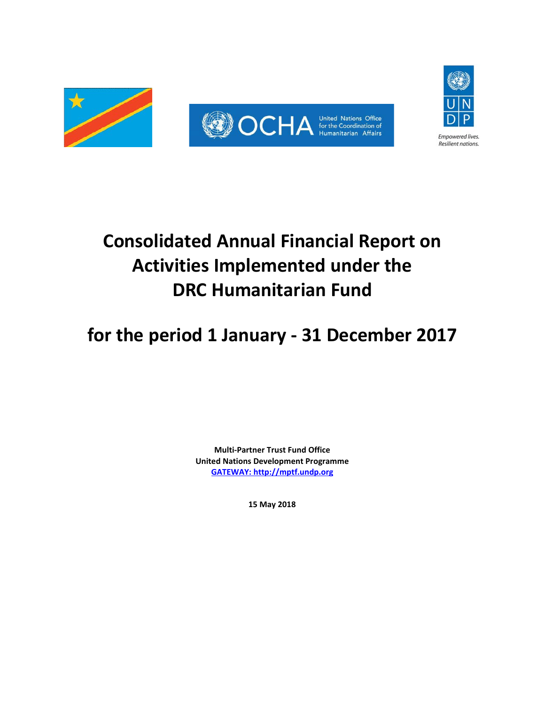

# **Consolidated Annual Financial Report on Activities Implemented under the DRC Humanitarian Fund**

**for the period 1 January - 31 December 2017**

**Multi-Partner Trust Fund Office United Nations Development Programme [GATEWAY: http://mptf.undp.org](http://mptf.undp.org/)**

**15 May 2018**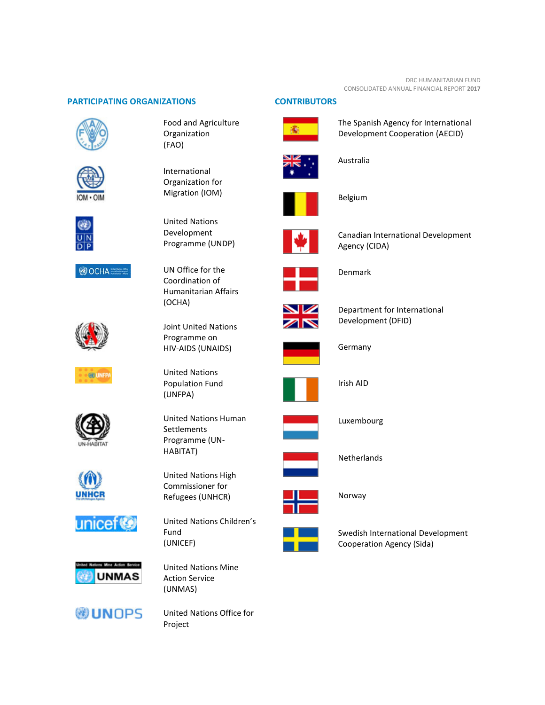#### DRC HUMANITARIAN FUND CONSOLIDATED ANNUAL FINANCIAL REPORT **2017**

### **PARTICIPATING ORGANIZATIONS CONTRIBUTORS**







**OCHA** 



**600 UNFP** 











Food and Agriculture Organization (FAO)

International Organization for Migration (IOM)



UN Office for the Coordination of Humanitarian Affairs (OCHA)

Joint United Nations Programme on HIV-AIDS (UNAIDS)

United Nations Population Fund (UNFPA)

United Nations Human Settlements Programme (UN-HABITAT)

United Nations High Commissioner for Refugees (UNHCR)

United Nations Children's Fund (UNICEF)



United Nations Office for Project



The Spanish Agency for International Development Cooperation (AECID)



Australia





Canadian International Development Agency (CIDA)



Denmark



Department for International Development (DFID)



Germany



Irish AID



Luxembourg



Netherlands



Norway



Swedish International Development Cooperation Agency (Sida)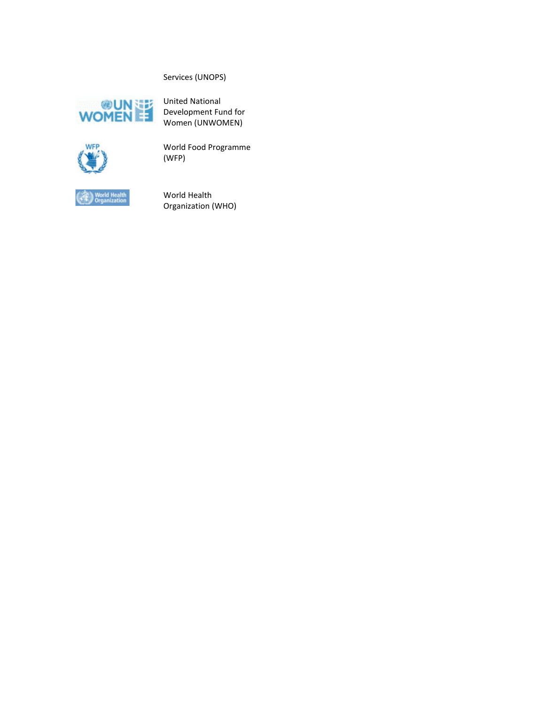# Services (UNOPS)



United National Development Fund for Women (UNWOMEN)



World Food Programme (WFP)



World Health Organization (WHO)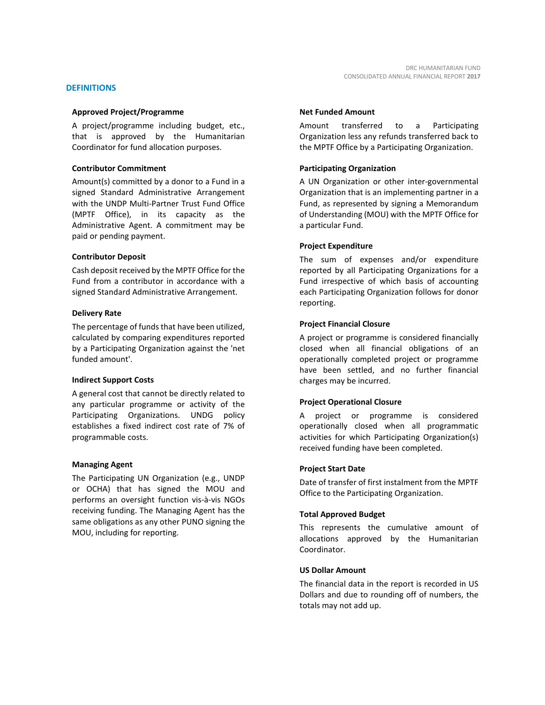#### **DEFINITIONS**

#### **Approved Project/Programme**

A project/programme including budget, etc., that is approved by the Humanitarian Coordinator for fund allocation purposes.

#### **Contributor Commitment**

Amount(s) committed by a donor to a Fund in a signed Standard Administrative Arrangement with the UNDP Multi-Partner Trust Fund Office (MPTF Office), in its capacity as the Administrative Agent. A commitment may be paid or pending payment.

#### **Contributor Deposit**

Cash deposit received by the MPTF Office for the Fund from a contributor in accordance with a signed Standard Administrative Arrangement.

#### **Delivery Rate**

The percentage of funds that have been utilized, calculated by comparing expenditures reported by a Participating Organization against the 'net funded amount'.

#### **Indirect Support Costs**

A general cost that cannot be directly related to any particular programme or activity of the Participating Organizations. UNDG policy establishes a fixed indirect cost rate of 7% of programmable costs.

#### **Managing Agent**

The Participating UN Organization (e.g., UNDP or OCHA) that has signed the MOU and performs an oversight function vis-à-vis NGOs receiving funding. The Managing Agent has the same obligations as any other PUNO signing the MOU, including for reporting.

#### **Net Funded Amount**

Amount transferred to a Participating Organization less any refunds transferred back to the MPTF Office by a Participating Organization.

#### **Participating Organization**

A UN Organization or other inter-governmental Organization that is an implementing partner in a Fund, as represented by signing a Memorandum of Understanding (MOU) with the MPTF Office for a particular Fund.

#### **Project Expenditure**

The sum of expenses and/or expenditure reported by all Participating Organizations for a Fund irrespective of which basis of accounting each Participating Organization follows for donor reporting.

#### **Project Financial Closure**

A project or programme is considered financially closed when all financial obligations of an operationally completed project or programme have been settled, and no further financial charges may be incurred.

#### **Project Operational Closure**

A project or programme is considered operationally closed when all programmatic activities for which Participating Organization(s) received funding have been completed.

#### **Project Start Date**

Date of transfer of first instalment from the MPTF Office to the Participating Organization.

#### **Total Approved Budget**

This represents the cumulative amount of allocations approved by the Humanitarian Coordinator.

#### **US Dollar Amount**

The financial data in the report is recorded in US Dollars and due to rounding off of numbers, the totals may not add up.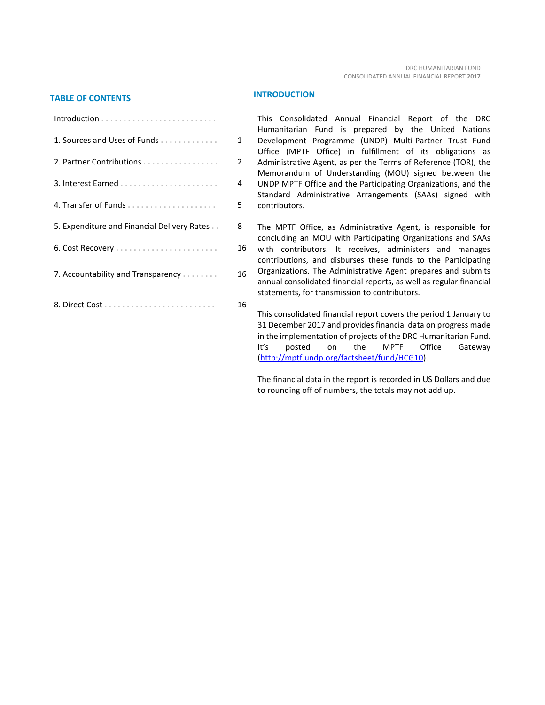# **TABLE OF CONTENTS INTRODUCTION**

| 1. Sources and Uses of Funds                | 1  |
|---------------------------------------------|----|
| 2. Partner Contributions                    | 2  |
|                                             | 4  |
|                                             | 5  |
| 5. Expenditure and Financial Delivery Rates | 8  |
|                                             | 16 |
| 7. Accountability and Transparency          | 16 |
|                                             | 16 |

This Consolidated Annual Financial Report of the DRC Humanitarian Fund is prepared by the United Nations Development Programme (UNDP) Multi-Partner Trust Fund Office (MPTF Office) in fulfillment of its obligations as Administrative Agent, as per the Terms of Reference (TOR), the Memorandum of Understanding (MOU) signed between the UNDP MPTF Office and the Participating Organizations, and the Standard Administrative Arrangements (SAAs) signed with contributors.

The MPTF Office, as Administrative Agent, is responsible for concluding an MOU with Participating Organizations and SAAs with contributors. It receives, administers and manages contributions, and disburses these funds to the Participating Organizations. The Administrative Agent prepares and submits annual consolidated financial reports, as well as regular financial statements, for transmission to contributors.

This consolidated financial report covers the period 1 January to 31 December 2017 and provides financial data on progress made in the implementation of projects of the DRC Humanitarian Fund. It's posted on the MPTF Office Gateway [\(http://mptf.undp.org/factsheet/fund/HCG10\)](http://mptf.undp.org/factsheet/fund/HCG10).

The financial data in the report is recorded in US Dollars and due to rounding off of numbers, the totals may not add up.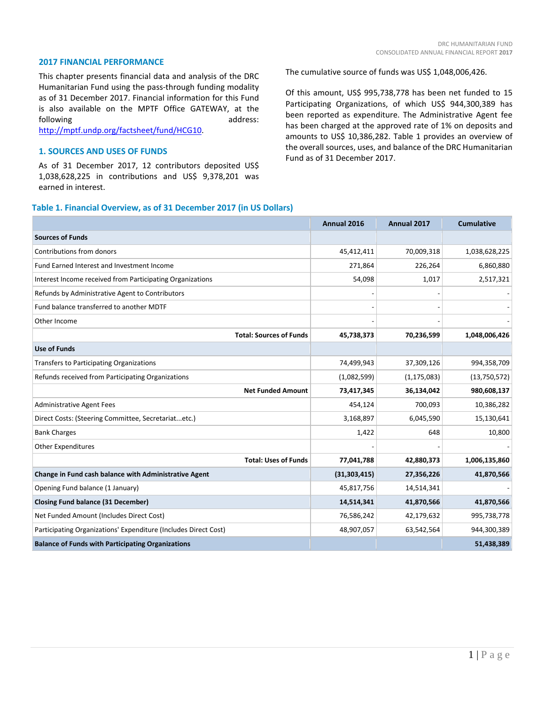### **2017 FINANCIAL PERFORMANCE**

This chapter presents financial data and analysis of the DRC Humanitarian Fund using the pass-through funding modality as of 31 December 2017. Financial information for this Fund is also available on the MPTF Office GATEWAY, at the following and and the state of the state and address:

[http://mptf.undp.org/factsheet/fund/HCG10.](http://mptf.undp.org/factsheet/fund/HCG10)

# **1. SOURCES AND USES OF FUNDS**

As of 31 December 2017, 12 contributors deposited US\$ 1,038,628,225 in contributions and US\$ 9,378,201 was earned in interest.

The cumulative source of funds was US\$ 1,048,006,426.

Of this amount, US\$ 995,738,778 has been net funded to 15 Participating Organizations, of which US\$ 944,300,389 has been reported as expenditure. The Administrative Agent fee has been charged at the approved rate of 1% on deposits and amounts to US\$ 10,386,282. Table 1 provides an overview of the overall sources, uses, and balance of the DRC Humanitarian Fund as of 31 December 2017.

#### **Table 1. Financial Overview, as of 31 December 2017 (in US Dollars)**

|                                                                 | Annual 2016    | Annual 2017   | <b>Cumulative</b> |
|-----------------------------------------------------------------|----------------|---------------|-------------------|
| <b>Sources of Funds</b>                                         |                |               |                   |
| Contributions from donors                                       | 45,412,411     | 70,009,318    | 1,038,628,225     |
| Fund Earned Interest and Investment Income                      | 271,864        | 226,264       | 6,860,880         |
| Interest Income received from Participating Organizations       | 54,098         | 1,017         | 2,517,321         |
| Refunds by Administrative Agent to Contributors                 |                |               |                   |
| Fund balance transferred to another MDTF                        |                |               |                   |
| Other Income                                                    |                |               |                   |
| <b>Total: Sources of Funds</b>                                  | 45,738,373     | 70,236,599    | 1,048,006,426     |
| <b>Use of Funds</b>                                             |                |               |                   |
| <b>Transfers to Participating Organizations</b>                 | 74,499,943     | 37,309,126    | 994,358,709       |
| Refunds received from Participating Organizations               | (1,082,599)    | (1, 175, 083) | (13,750,572)      |
| <b>Net Funded Amount</b>                                        | 73,417,345     | 36,134,042    | 980,608,137       |
| <b>Administrative Agent Fees</b>                                | 454,124        | 700,093       | 10,386,282        |
| Direct Costs: (Steering Committee, Secretariatetc.)             | 3,168,897      | 6,045,590     | 15,130,641        |
| <b>Bank Charges</b>                                             | 1,422          | 648           | 10,800            |
| <b>Other Expenditures</b>                                       |                |               |                   |
| <b>Total: Uses of Funds</b>                                     | 77,041,788     | 42,880,373    | 1,006,135,860     |
| Change in Fund cash balance with Administrative Agent           | (31, 303, 415) | 27,356,226    | 41,870,566        |
| Opening Fund balance (1 January)                                | 45,817,756     | 14,514,341    |                   |
| <b>Closing Fund balance (31 December)</b>                       | 14,514,341     | 41,870,566    | 41,870,566        |
| Net Funded Amount (Includes Direct Cost)                        | 76,586,242     | 42,179,632    | 995,738,778       |
| Participating Organizations' Expenditure (Includes Direct Cost) | 48,907,057     | 63,542,564    | 944,300,389       |
| <b>Balance of Funds with Participating Organizations</b>        |                |               | 51,438,389        |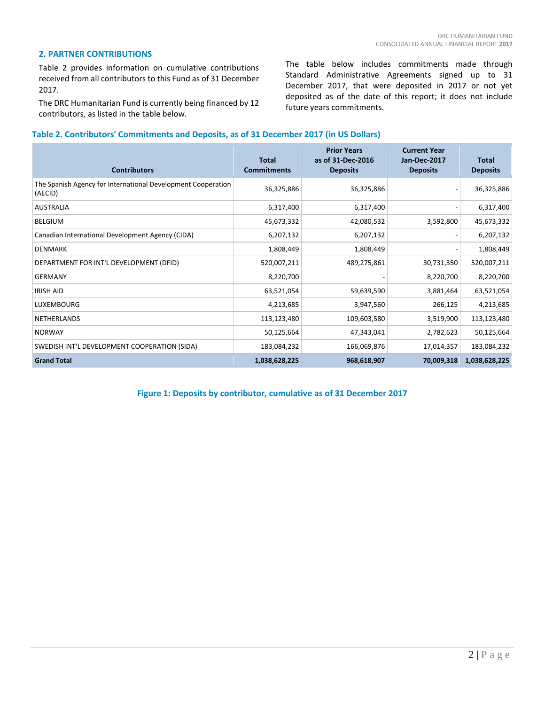#### **2. PARTNER CONTRIBUTIONS**

Table 2 provides information on cumulative contributions received from all contributors to this Fund as of 31 December 2017.

The DRC Humanitarian Fund is currently being financed by 12 contributors, as listed in the table below.

The table below includes commitments made through Standard Administrative Agreements signed up to 31 December 2017, that were deposited in 2017 or not yet deposited as of the date of this report; it does not include future years commitments.

### **Table 2. Contributors' Commitments and Deposits, as of 31 December 2017 (in US Dollars)**

| <b>Contributors</b>                                                     | <b>Total</b><br><b>Commitments</b> | <b>Prior Years</b><br>as of 31-Dec-2016<br><b>Deposits</b> | <b>Current Year</b><br>Jan-Dec-2017<br><b>Deposits</b> | <b>Total</b><br><b>Deposits</b> |
|-------------------------------------------------------------------------|------------------------------------|------------------------------------------------------------|--------------------------------------------------------|---------------------------------|
| The Spanish Agency for International Development Cooperation<br>(AECID) | 36,325,886                         | 36,325,886                                                 |                                                        | 36,325,886                      |
| <b>AUSTRALIA</b>                                                        | 6,317,400                          | 6,317,400                                                  |                                                        | 6,317,400                       |
| <b>BELGIUM</b>                                                          | 45,673,332                         | 42,080,532                                                 | 3,592,800                                              | 45,673,332                      |
| Canadian International Development Agency (CIDA)                        | 6,207,132                          | 6,207,132                                                  |                                                        | 6,207,132                       |
| <b>DENMARK</b>                                                          | 1,808,449                          | 1,808,449                                                  |                                                        | 1,808,449                       |
| DEPARTMENT FOR INT'L DEVELOPMENT (DFID)                                 | 520,007,211                        | 489,275,861                                                | 30,731,350                                             | 520,007,211                     |
| <b>GERMANY</b>                                                          | 8,220,700                          |                                                            | 8,220,700                                              | 8,220,700                       |
| <b>IRISH AID</b>                                                        | 63,521,054                         | 59,639,590                                                 | 3,881,464                                              | 63,521,054                      |
| <b>LUXEMBOURG</b>                                                       | 4,213,685                          | 3,947,560                                                  | 266,125                                                | 4,213,685                       |
| <b>NETHERLANDS</b>                                                      | 113,123,480                        | 109,603,580                                                | 3,519,900                                              | 113,123,480                     |
| <b>NORWAY</b>                                                           | 50,125,664                         | 47,343,041                                                 | 2,782,623                                              | 50,125,664                      |
| SWEDISH INT'L DEVELOPMENT COOPERATION (SIDA)                            | 183,084,232                        | 166,069,876                                                | 17,014,357                                             | 183,084,232                     |
| <b>Grand Total</b>                                                      | 1,038,628,225                      | 968,618,907                                                | 70,009,318                                             | 1,038,628,225                   |

**Figure 1: Deposits by contributor, cumulative as of 31 December 2017**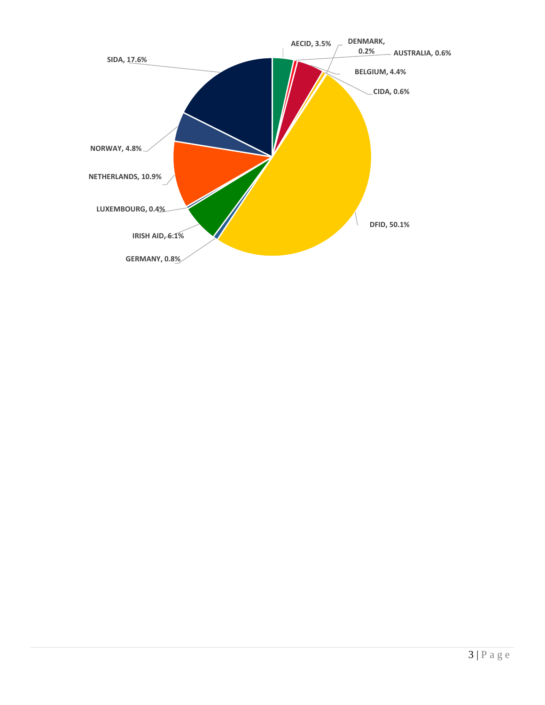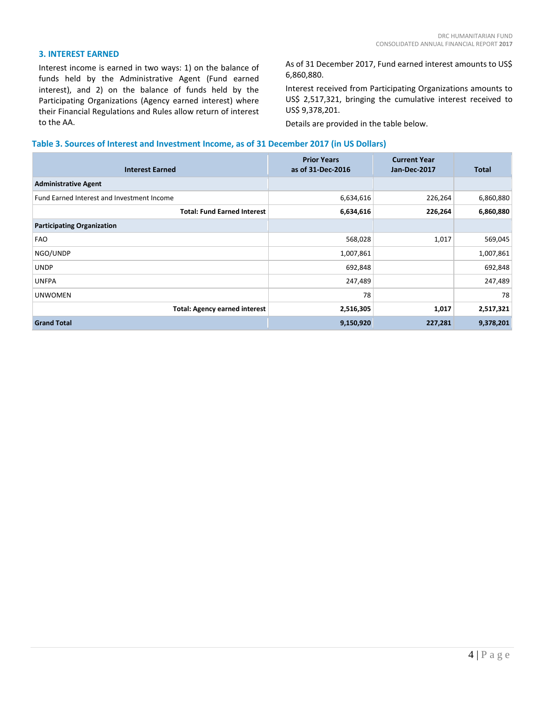#### **3. INTEREST EARNED**

Interest income is earned in two ways: 1) on the balance of funds held by the Administrative Agent (Fund earned interest), and 2) on the balance of funds held by the Participating Organizations (Agency earned interest) where their Financial Regulations and Rules allow return of interest to the AA.

As of 31 December 2017, Fund earned interest amounts to US\$ 6,860,880.

Interest received from Participating Organizations amounts to US\$ 2,517,321, bringing the cumulative interest received to US\$ 9,378,201.

Details are provided in the table below.

#### **Table 3. Sources of Interest and Investment Income, as of 31 December 2017 (in US Dollars)**

| <b>Interest Earned</b>                     | <b>Prior Years</b><br>as of 31-Dec-2016 | <b>Current Year</b><br><b>Jan-Dec-2017</b> | <b>Total</b> |
|--------------------------------------------|-----------------------------------------|--------------------------------------------|--------------|
| <b>Administrative Agent</b>                |                                         |                                            |              |
| Fund Earned Interest and Investment Income | 6,634,616                               | 226,264                                    | 6,860,880    |
| <b>Total: Fund Earned Interest</b>         | 6,634,616                               | 226,264                                    | 6,860,880    |
| <b>Participating Organization</b>          |                                         |                                            |              |
| <b>FAO</b>                                 | 568,028                                 | 1,017                                      | 569,045      |
| NGO/UNDP                                   | 1,007,861                               |                                            | 1,007,861    |
| <b>UNDP</b>                                | 692,848                                 |                                            | 692,848      |
| <b>UNFPA</b>                               | 247,489                                 |                                            | 247,489      |
| <b>UNWOMEN</b>                             | 78                                      |                                            | 78           |
| <b>Total: Agency earned interest</b>       | 2,516,305                               | 1,017                                      | 2,517,321    |
| <b>Grand Total</b>                         | 9,150,920                               | 227,281                                    | 9,378,201    |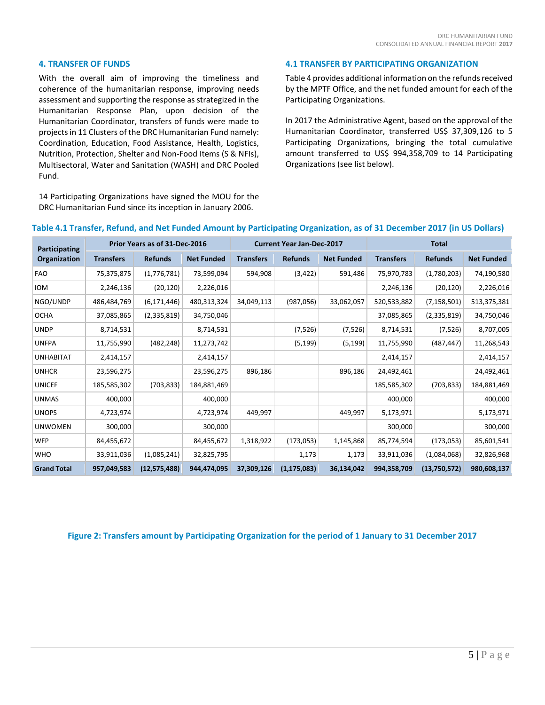#### **4. TRANSFER OF FUNDS**

With the overall aim of improving the timeliness and coherence of the humanitarian response, improving needs assessment and supporting the response as strategized in the Humanitarian Response Plan, upon decision of the Humanitarian Coordinator, transfers of funds were made to projects in 11 Clusters of the DRC Humanitarian Fund namely: Coordination, Education, Food Assistance, Health, Logistics, Nutrition, Protection, Shelter and Non-Food Items (S & NFIs), Multisectoral, Water and Sanitation (WASH) and DRC Pooled Fund.

14 Participating Organizations have signed the MOU for the DRC Humanitarian Fund since its inception in January 2006.

#### **4.1 TRANSFER BY PARTICIPATING ORGANIZATION**

Table 4 provides additional information on the refunds received by the MPTF Office, and the net funded amount for each of the Participating Organizations.

In 2017 the Administrative Agent, based on the approval of the Humanitarian Coordinator, transferred US\$ 37,309,126 to 5 Participating Organizations, bringing the total cumulative amount transferred to US\$ 994,358,709 to 14 Participating Organizations (see list below).

| Participating      | Prior Years as of 31-Dec-2016 |                |                   | <b>Current Year Jan-Dec-2017</b> |                |                   | <b>Total</b>     |                |                   |
|--------------------|-------------------------------|----------------|-------------------|----------------------------------|----------------|-------------------|------------------|----------------|-------------------|
| Organization       | <b>Transfers</b>              | <b>Refunds</b> | <b>Net Funded</b> | <b>Transfers</b>                 | <b>Refunds</b> | <b>Net Funded</b> | <b>Transfers</b> | <b>Refunds</b> | <b>Net Funded</b> |
| <b>FAO</b>         | 75,375,875                    | (1,776,781)    | 73,599,094        | 594,908                          | (3, 422)       | 591,486           | 75,970,783       | (1,780,203)    | 74,190,580        |
| <b>IOM</b>         | 2,246,136                     | (20, 120)      | 2,226,016         |                                  |                |                   | 2,246,136        | (20, 120)      | 2,226,016         |
| NGO/UNDP           | 486,484,769                   | (6, 171, 446)  | 480,313,324       | 34,049,113                       | (987,056)      | 33,062,057        | 520,533,882      | (7, 158, 501)  | 513,375,381       |
| <b>OCHA</b>        | 37,085,865                    | (2,335,819)    | 34,750,046        |                                  |                |                   | 37,085,865       | (2,335,819)    | 34,750,046        |
| <b>UNDP</b>        | 8,714,531                     |                | 8,714,531         |                                  | (7, 526)       | (7, 526)          | 8,714,531        | (7, 526)       | 8,707,005         |
| <b>UNFPA</b>       | 11,755,990                    | (482, 248)     | 11,273,742        |                                  | (5, 199)       | (5, 199)          | 11,755,990       | (487, 447)     | 11,268,543        |
| <b>UNHABITAT</b>   | 2,414,157                     |                | 2,414,157         |                                  |                |                   | 2,414,157        |                | 2,414,157         |
| <b>UNHCR</b>       | 23,596,275                    |                | 23,596,275        | 896,186                          |                | 896,186           | 24,492,461       |                | 24,492,461        |
| <b>UNICEF</b>      | 185,585,302                   | (703, 833)     | 184,881,469       |                                  |                |                   | 185,585,302      | (703, 833)     | 184,881,469       |
| <b>UNMAS</b>       | 400,000                       |                | 400,000           |                                  |                |                   | 400,000          |                | 400,000           |
| <b>UNOPS</b>       | 4,723,974                     |                | 4,723,974         | 449,997                          |                | 449,997           | 5,173,971        |                | 5,173,971         |
| <b>UNWOMEN</b>     | 300,000                       |                | 300,000           |                                  |                |                   | 300,000          |                | 300,000           |
| <b>WFP</b>         | 84,455,672                    |                | 84,455,672        | 1,318,922                        | (173, 053)     | 1,145,868         | 85,774,594       | (173,053)      | 85,601,541        |
| <b>WHO</b>         | 33,911,036                    | (1,085,241)    | 32,825,795        |                                  | 1,173          | 1,173             | 33,911,036       | (1,084,068)    | 32,826,968        |
| <b>Grand Total</b> | 957,049,583                   | (12,575,488)   | 944,474,095       | 37,309,126                       | (1, 175, 083)  | 36,134,042        | 994,358,709      | (13,750,572)   | 980,608,137       |

# **Table 4.1 Transfer, Refund, and Net Funded Amount by Participating Organization, as of 31 December 2017 (in US Dollars)**

# **Figure 2: Transfers amount by Participating Organization for the period of 1 January to 31 December 2017**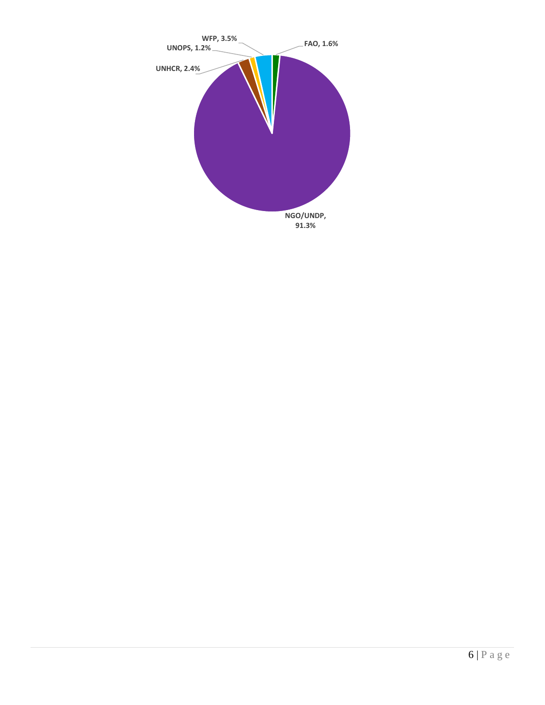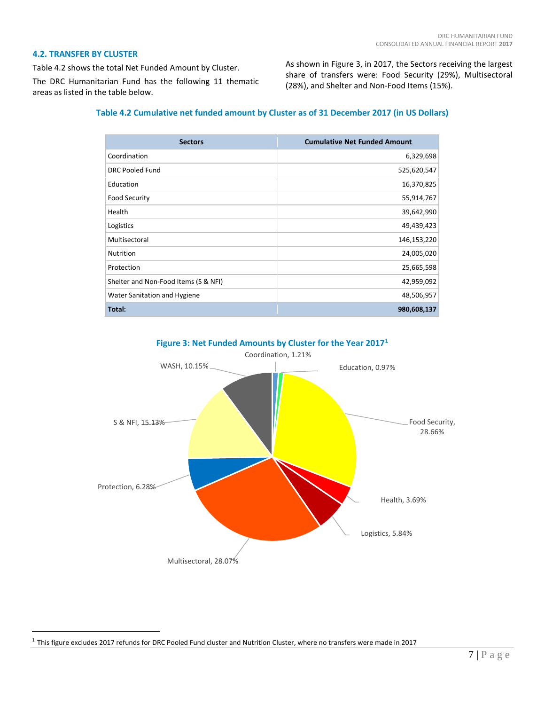#### **4.2. TRANSFER BY CLUSTER**

Table 4.2 shows the total Net Funded Amount by Cluster. The DRC Humanitarian Fund has the following 11 thematic areas as listed in the table below.

As shown in Figure 3, in 2017, the Sectors receiving the largest share of transfers were: Food Security (29%), Multisectoral (28%), and Shelter and Non-Food Items (15%).

# **Table 4.2 Cumulative net funded amount by Cluster as of 31 December 2017 (in US Dollars)**

| <b>Sectors</b>                       | <b>Cumulative Net Funded Amount</b> |
|--------------------------------------|-------------------------------------|
| Coordination                         | 6,329,698                           |
| <b>DRC Pooled Fund</b>               | 525,620,547                         |
| Education                            | 16,370,825                          |
| <b>Food Security</b>                 | 55,914,767                          |
| Health                               | 39,642,990                          |
| Logistics                            | 49,439,423                          |
| Multisectoral                        | 146,153,220                         |
| <b>Nutrition</b>                     | 24,005,020                          |
| Protection                           | 25,665,598                          |
| Shelter and Non-Food Items (S & NFI) | 42,959,092                          |
| Water Sanitation and Hygiene         | 48,506,957                          |
| Total:                               | 980,608,137                         |





<span id="page-11-0"></span> $1$  This figure excludes 2017 refunds for DRC Pooled Fund cluster and Nutrition Cluster, where no transfers were made in 2017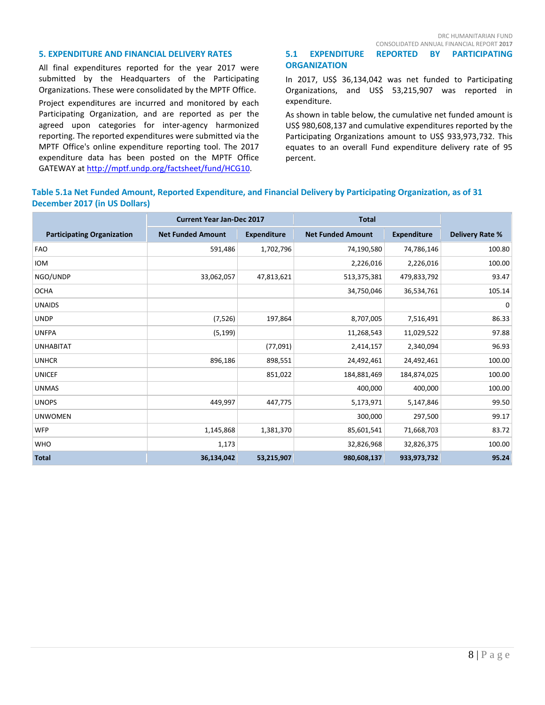#### **5. EXPENDITURE AND FINANCIAL DELIVERY RATES**

All final expenditures reported for the year 2017 were submitted by the Headquarters of the Participating Organizations. These were consolidated by the MPTF Office.

Project expenditures are incurred and monitored by each Participating Organization, and are reported as per the agreed upon categories for inter-agency harmonized reporting. The reported expenditures were submitted via the MPTF Office's online expenditure reporting tool. The 2017 expenditure data has been posted on the MPTF Office GATEWAY a[t http://mptf.undp.org/factsheet/fund/HCG10.](http://mptf.undp.org/factsheet/fund/HCG10)

#### CONSOLIDATED ANNUAL FINANCIAL REPORT **2017 5.1 EXPENDITURE REPORTED BY PARTICIPATING ORGANIZATION**

In 2017, US\$ 36,134,042 was net funded to Participating Organizations, and US\$ 53,215,907 was reported in expenditure.

As shown in table below, the cumulative net funded amount is US\$ 980,608,137 and cumulative expenditures reported by the Participating Organizations amount to US\$ 933,973,732. This equates to an overall Fund expenditure delivery rate of 95 percent.

# **Table 5.1a Net Funded Amount, Reported Expenditure, and Financial Delivery by Participating Organization, as of 31 December 2017 (in US Dollars)**

|                                   | <b>Current Year Jan-Dec 2017</b><br><b>Total</b> |                    |                          |                    |                        |
|-----------------------------------|--------------------------------------------------|--------------------|--------------------------|--------------------|------------------------|
| <b>Participating Organization</b> | <b>Net Funded Amount</b>                         | <b>Expenditure</b> | <b>Net Funded Amount</b> | <b>Expenditure</b> | <b>Delivery Rate %</b> |
| <b>FAO</b>                        | 591,486                                          | 1,702,796          | 74,190,580               | 74,786,146         | 100.80                 |
| <b>IOM</b>                        |                                                  |                    | 2,226,016                | 2,226,016          | 100.00                 |
| NGO/UNDP                          | 33,062,057                                       | 47,813,621         | 513,375,381              | 479,833,792        | 93.47                  |
| <b>OCHA</b>                       |                                                  |                    | 34,750,046               | 36,534,761         | 105.14                 |
| <b>UNAIDS</b>                     |                                                  |                    |                          |                    | 0                      |
| <b>UNDP</b>                       | (7, 526)                                         | 197,864            | 8,707,005                | 7,516,491          | 86.33                  |
| <b>UNFPA</b>                      | (5, 199)                                         |                    | 11,268,543               | 11,029,522         | 97.88                  |
| <b>UNHABITAT</b>                  |                                                  | (77,091)           | 2,414,157                | 2,340,094          | 96.93                  |
| <b>UNHCR</b>                      | 896,186                                          | 898,551            | 24,492,461               | 24,492,461         | 100.00                 |
| <b>UNICEF</b>                     |                                                  | 851,022            | 184,881,469              | 184,874,025        | 100.00                 |
| <b>UNMAS</b>                      |                                                  |                    | 400,000                  | 400,000            | 100.00                 |
| <b>UNOPS</b>                      | 449,997                                          | 447,775            | 5,173,971                | 5,147,846          | 99.50                  |
| <b>UNWOMEN</b>                    |                                                  |                    | 300,000                  | 297,500            | 99.17                  |
| <b>WFP</b>                        | 1,145,868                                        | 1,381,370          | 85,601,541               | 71,668,703         | 83.72                  |
| <b>WHO</b>                        | 1,173                                            |                    | 32,826,968               | 32,826,375         | 100.00                 |
| <b>Total</b>                      | 36,134,042                                       | 53,215,907         | 980,608,137              | 933,973,732        | 95.24                  |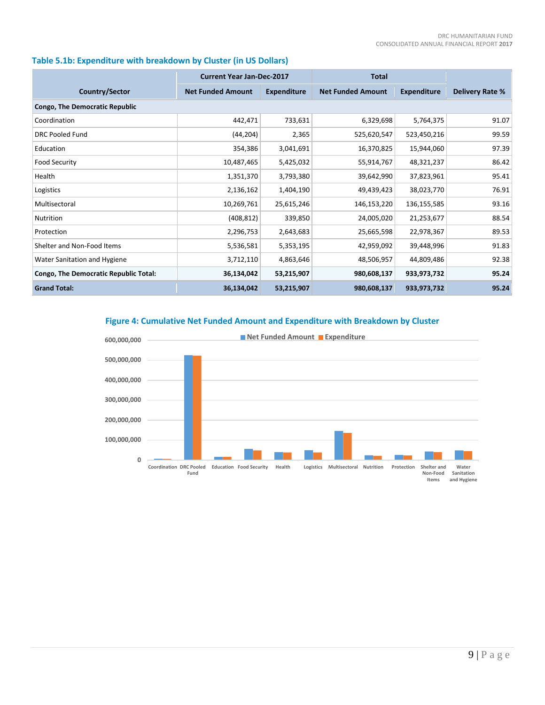# **Table 5.1b: Expenditure with breakdown by Cluster (in US Dollars)**

|                                              | <b>Current Year Jan-Dec-2017</b> |                    | <b>Total</b>             |                    |                        |
|----------------------------------------------|----------------------------------|--------------------|--------------------------|--------------------|------------------------|
| Country/Sector                               | <b>Net Funded Amount</b>         | <b>Expenditure</b> | <b>Net Funded Amount</b> | <b>Expenditure</b> | <b>Delivery Rate %</b> |
| <b>Congo, The Democratic Republic</b>        |                                  |                    |                          |                    |                        |
| Coordination                                 | 442,471                          | 733,631            | 6,329,698                | 5,764,375          | 91.07                  |
| DRC Pooled Fund                              | (44, 204)                        | 2,365              | 525,620,547              | 523,450,216        | 99.59                  |
| Education                                    | 354,386                          | 3,041,691          | 16,370,825               | 15,944,060         | 97.39                  |
| <b>Food Security</b>                         | 10,487,465                       | 5,425,032          | 55,914,767               | 48,321,237         | 86.42                  |
| Health                                       | 1,351,370                        | 3,793,380          | 39,642,990               | 37,823,961         | 95.41                  |
| Logistics                                    | 2,136,162                        | 1,404,190          | 49,439,423               | 38,023,770         | 76.91                  |
| Multisectoral                                | 10,269,761                       | 25,615,246         | 146,153,220              | 136,155,585        | 93.16                  |
| <b>Nutrition</b>                             | (408, 812)                       | 339,850            | 24,005,020               | 21,253,677         | 88.54                  |
| Protection                                   | 2,296,753                        | 2,643,683          | 25,665,598               | 22,978,367         | 89.53                  |
| Shelter and Non-Food Items                   | 5,536,581                        | 5,353,195          | 42,959,092               | 39,448,996         | 91.83                  |
| Water Sanitation and Hygiene                 | 3,712,110                        | 4,863,646          | 48,506,957               | 44,809,486         | 92.38                  |
| <b>Congo, The Democratic Republic Total:</b> | 36,134,042                       | 53,215,907         | 980,608,137              | 933,973,732        | 95.24                  |
| <b>Grand Total:</b>                          | 36,134,042                       | 53,215,907         | 980,608,137              | 933,973,732        | 95.24                  |

**Figure 4: Cumulative Net Funded Amount and Expenditure with Breakdown by Cluster**

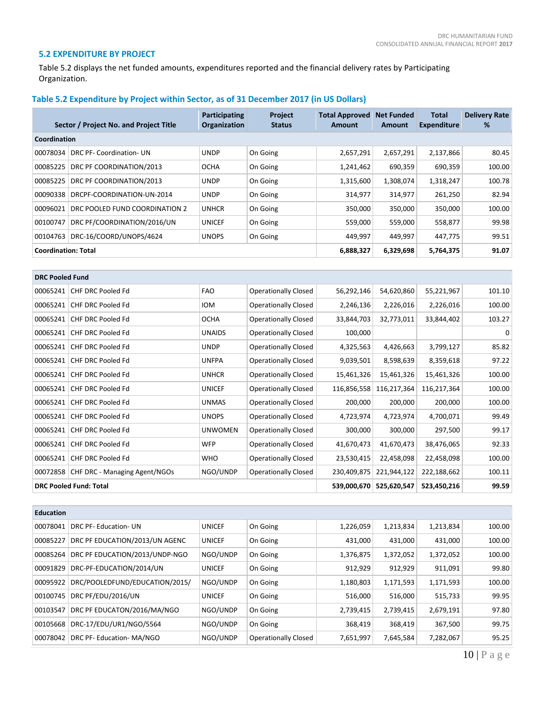### **5.2 EXPENDITURE BY PROJECT**

Table 5.2 displays the net funded amounts, expenditures reported and the financial delivery rates by Participating Organization.

# **Table 5.2 Expenditure by Project within Sector, as of 31 December 2017 (in US Dollars)**

|              | Sector / Project No. and Project Title | Participating<br>Organization | <b>Project</b><br><b>Status</b> | <b>Total Approved</b><br>Amount | <b>Net Funded</b><br>Amount | <b>Total</b><br><b>Expenditure</b> | <b>Delivery Rate</b><br>% |  |  |  |
|--------------|----------------------------------------|-------------------------------|---------------------------------|---------------------------------|-----------------------------|------------------------------------|---------------------------|--|--|--|
| Coordination |                                        |                               |                                 |                                 |                             |                                    |                           |  |  |  |
| 00078034     | DRC PF-Coordination- UN                | <b>UNDP</b>                   | On Going                        | 2,657,291                       | 2,657,291                   | 2,137,866                          | 80.45                     |  |  |  |
| 00085225     | DRC PF COORDINATION/2013               | <b>OCHA</b>                   | On Going                        | 1,241,462                       | 690,359                     | 690,359                            | 100.00                    |  |  |  |
| 00085225     | DRC PF COORDINATION/2013               | <b>UNDP</b>                   | On Going                        | 1,315,600                       | 1,308,074                   | 1,318,247                          | 100.78                    |  |  |  |
| 00090338     | DRCPF-COORDINATION-UN-2014             | <b>UNDP</b>                   | On Going                        | 314,977                         | 314,977                     | 261,250                            | 82.94                     |  |  |  |
| 00096021     | DRC POOLED FUND COORDINATION 2         | <b>UNHCR</b>                  | On Going                        | 350,000                         | 350,000                     | 350,000                            | 100.00                    |  |  |  |
| 00100747     | DRC PF/COORDINATION/2016/UN            | <b>UNICEF</b>                 | On Going                        | 559,000                         | 559,000                     | 558,877                            | 99.98                     |  |  |  |
| 00104763     | DRC-16/COORD/UNOPS/4624                | <b>UNOPS</b>                  | On Going                        | 449.997                         | 449.997                     | 447.775                            | 99.51                     |  |  |  |
|              | <b>Coordination: Total</b>             |                               |                                 |                                 | 6,329,698                   | 5,764,375                          | 91.07                     |  |  |  |

| <b>DRC Pooled Fund</b> |                                        |                |                             |             |             |             |          |
|------------------------|----------------------------------------|----------------|-----------------------------|-------------|-------------|-------------|----------|
| 00065241               | CHF DRC Pooled Fd                      | <b>FAO</b>     | <b>Operationally Closed</b> | 56,292,146  | 54,620,860  | 55,221,967  | 101.10   |
| 00065241               | CHF DRC Pooled Fd                      | <b>IOM</b>     | <b>Operationally Closed</b> | 2,246,136   | 2,226,016   | 2,226,016   | 100.00   |
| 00065241               | CHF DRC Pooled Fd                      | <b>OCHA</b>    | <b>Operationally Closed</b> | 33,844,703  | 32,773,011  | 33,844,402  | 103.27   |
| 00065241               | CHF DRC Pooled Fd                      | <b>UNAIDS</b>  | <b>Operationally Closed</b> | 100,000     |             |             | $\Omega$ |
| 00065241               | CHF DRC Pooled Fd                      | <b>UNDP</b>    | <b>Operationally Closed</b> | 4,325,563   | 4,426,663   | 3,799,127   | 85.82    |
| 00065241               | CHF DRC Pooled Fd                      | <b>UNFPA</b>   | <b>Operationally Closed</b> | 9,039,501   | 8,598,639   | 8,359,618   | 97.22    |
| 00065241               | CHF DRC Pooled Fd                      | <b>UNHCR</b>   | <b>Operationally Closed</b> | 15,461,326  | 15,461,326  | 15,461,326  | 100.00   |
|                        | 00065241 CHF DRC Pooled Fd             | <b>UNICEF</b>  | <b>Operationally Closed</b> | 116,856,558 | 116,217,364 | 116,217,364 | 100.00   |
| 00065241               | CHF DRC Pooled Fd                      | <b>UNMAS</b>   | <b>Operationally Closed</b> | 200,000     | 200,000     | 200,000     | 100.00   |
| 00065241               | CHF DRC Pooled Fd                      | <b>UNOPS</b>   | <b>Operationally Closed</b> | 4,723,974   | 4,723,974   | 4,700,071   | 99.49    |
| 00065241               | CHF DRC Pooled Fd                      | <b>UNWOMEN</b> | <b>Operationally Closed</b> | 300,000     | 300,000     | 297,500     | 99.17    |
| 00065241               | CHF DRC Pooled Fd                      | <b>WFP</b>     | <b>Operationally Closed</b> | 41,670,473  | 41,670,473  | 38,476,065  | 92.33    |
| 00065241               | CHF DRC Pooled Fd                      | <b>WHO</b>     | <b>Operationally Closed</b> | 23,530,415  | 22,458,098  | 22,458,098  | 100.00   |
|                        | 00072858 CHF DRC - Managing Agent/NGOs | NGO/UNDP       | <b>Operationally Closed</b> | 230,409,875 | 221,944,122 | 222,188,662 | 100.11   |
|                        | <b>DRC Pooled Fund: Total</b>          |                |                             | 539,000,670 | 525,620,547 | 523,450,216 | 99.59    |

| <b>Education</b> |                                |               |                             |           |           |           |        |
|------------------|--------------------------------|---------------|-----------------------------|-----------|-----------|-----------|--------|
| 00078041         | DRC PF- Education- UN          | <b>UNICEF</b> | On Going                    | 1,226,059 | 1,213,834 | 1,213,834 | 100.00 |
| 00085227         | DRC PF EDUCATION/2013/UN AGENC | <b>UNICEF</b> | On Going                    | 431,000   | 431,000   | 431,000   | 100.00 |
| 00085264         | DRC PF EDUCATION/2013/UNDP-NGO | NGO/UNDP      | On Going                    | 1,376,875 | 1,372,052 | 1,372,052 | 100.00 |
| 00091829         | DRC-PF-EDUCATION/2014/UN       | <b>UNICEF</b> | On Going                    | 912,929   | 912,929   | 911,091   | 99.80  |
| 00095922         | DRC/POOLEDFUND/EDUCATION/2015/ | NGO/UNDP      | On Going                    | 1,180,803 | 1,171,593 | 1,171,593 | 100.00 |
| 00100745         | DRC PF/EDU/2016/UN             | <b>UNICEF</b> | On Going                    | 516,000   | 516,000   | 515,733   | 99.95  |
| 00103547         | DRC PF EDUCATON/2016/MA/NGO    | NGO/UNDP      | On Going                    | 2,739,415 | 2,739,415 | 2,679,191 | 97.80  |
| 00105668         | DRC-17/EDU/UR1/NGO/5564        | NGO/UNDP      | On Going                    | 368,419   | 368,419   | 367,500   | 99.75  |
| 00078042         | DRC PF- Education- MA/NGO      | NGO/UNDP      | <b>Operationally Closed</b> | 7,651,997 | 7,645,584 | 7,282,067 | 95.25  |

10 | Page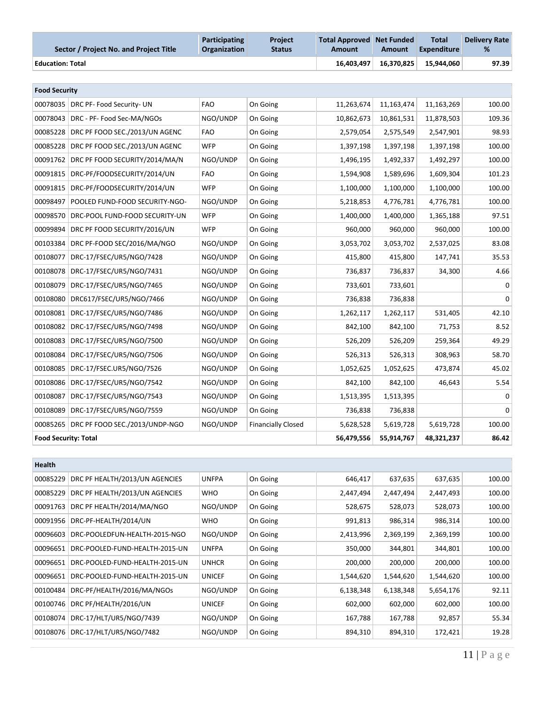| Sector / Project No. and Project Title | Participating<br><b>Organization</b> | <b>Project</b><br><b>Status</b> | Total Approved Net Funded<br>Amount | Amount     | <b>Total</b><br><b>Expenditure</b> | <b>Delivery Rate</b><br>% |
|----------------------------------------|--------------------------------------|---------------------------------|-------------------------------------|------------|------------------------------------|---------------------------|
| <b>Education: Total</b>                |                                      |                                 | 16.403.497                          | 16.370.825 | 15.944.060                         | 97.39                     |

| <b>Food Security</b> |                                |            |                           |            |              |            |              |
|----------------------|--------------------------------|------------|---------------------------|------------|--------------|------------|--------------|
| 00078035             | DRC PF- Food Security- UN      | <b>FAO</b> | On Going                  | 11,263,674 | 11, 163, 474 | 11,163,269 | 100.00       |
| 00078043             | DRC - PF- Food Sec-MA/NGOs     | NGO/UNDP   | On Going                  | 10,862,673 | 10,861,531   | 11,878,503 | 109.36       |
| 00085228             | DRC PF FOOD SEC./2013/UN AGENC | <b>FAO</b> | On Going                  | 2,579,054  | 2,575,549    | 2,547,901  | 98.93        |
| 00085228             | DRC PF FOOD SEC./2013/UN AGENC | <b>WFP</b> | On Going                  | 1,397,198  | 1,397,198    | 1,397,198  | 100.00       |
| 00091762             | DRC PF FOOD SECURITY/2014/MA/N | NGO/UNDP   | On Going                  | 1,496,195  | 1,492,337    | 1,492,297  | 100.00       |
| 00091815             | DRC-PF/FOODSECURITY/2014/UN    | <b>FAO</b> | On Going                  | 1,594,908  | 1,589,696    | 1,609,304  | 101.23       |
| 00091815             | DRC-PF/FOODSECURITY/2014/UN    | <b>WFP</b> | On Going                  | 1,100,000  | 1,100,000    | 1,100,000  | 100.00       |
| 00098497             | POOLED FUND-FOOD SECURITY-NGO- | NGO/UNDP   | On Going                  | 5,218,853  | 4,776,781    | 4,776,781  | 100.00       |
| 00098570             | DRC-POOL FUND-FOOD SECURITY-UN | <b>WFP</b> | On Going                  | 1,400,000  | 1,400,000    | 1,365,188  | 97.51        |
| 00099894             | DRC PF FOOD SECURITY/2016/UN   | <b>WFP</b> | On Going                  | 960,000    | 960,000      | 960,000    | 100.00       |
| 00103384             | DRC PF-FOOD SEC/2016/MA/NGO    | NGO/UNDP   | On Going                  | 3,053,702  | 3,053,702    | 2,537,025  | 83.08        |
| 00108077             | DRC-17/FSEC/UR5/NGO/7428       | NGO/UNDP   | On Going                  | 415,800    | 415,800      | 147,741    | 35.53        |
| 00108078             | DRC-17/FSEC/UR5/NGO/7431       | NGO/UNDP   | On Going                  | 736,837    | 736,837      | 34,300     | 4.66         |
| 00108079             | DRC-17/FSEC/UR5/NGO/7465       | NGO/UNDP   | On Going                  | 733,601    | 733,601      |            | 0            |
| 00108080             | DRC617/FSEC/UR5/NGO/7466       | NGO/UNDP   | On Going                  | 736,838    | 736,838      |            | $\mathbf 0$  |
| 00108081             | DRC-17/FSEC/UR5/NGO/7486       | NGO/UNDP   | On Going                  | 1,262,117  | 1,262,117    | 531,405    | 42.10        |
| 00108082             | DRC-17/FSEC/UR5/NGO/7498       | NGO/UNDP   | On Going                  | 842,100    | 842,100      | 71,753     | 8.52         |
| 00108083             | DRC-17/FSEC/UR5/NGO/7500       | NGO/UNDP   | On Going                  | 526,209    | 526,209      | 259,364    | 49.29        |
| 00108084             | DRC-17/FSEC/UR5/NGO/7506       | NGO/UNDP   | On Going                  | 526,313    | 526,313      | 308,963    | 58.70        |
| 00108085             | DRC-17/FSEC.UR5/NGO/7526       | NGO/UNDP   | On Going                  | 1,052,625  | 1,052,625    | 473,874    | 45.02        |
| 00108086             | DRC-17/FSEC/UR5/NGO/7542       | NGO/UNDP   | On Going                  | 842,100    | 842,100      | 46,643     | 5.54         |
| 00108087             | DRC-17/FSEC/UR5/NGO/7543       | NGO/UNDP   | On Going                  | 1,513,395  | 1,513,395    |            | 0            |
| 00108089             | DRC-17/FSEC/UR5/NGO/7559       | NGO/UNDP   | On Going                  | 736,838    | 736,838      |            | $\mathbf{0}$ |
| 00085265             | DRC PF FOOD SEC./2013/UNDP-NGO | NGO/UNDP   | <b>Financially Closed</b> | 5,628,528  | 5,619,728    | 5,619,728  | 100.00       |
|                      | <b>Food Security: Total</b>    |            |                           |            | 55,914,767   | 48,321,237 | 86.42        |
|                      |                                |            |                           |            |              |            |              |

| Health   |                                |               |          |           |           |           |        |
|----------|--------------------------------|---------------|----------|-----------|-----------|-----------|--------|
| 00085229 | DRC PF HEALTH/2013/UN AGENCIES | <b>UNFPA</b>  | On Going | 646,417   | 637,635   | 637,635   | 100.00 |
| 00085229 | DRC PF HEALTH/2013/UN AGENCIES | <b>WHO</b>    | On Going | 2,447,494 | 2,447,494 | 2,447,493 | 100.00 |
| 00091763 | DRC PF HEALTH/2014/MA/NGO      | NGO/UNDP      | On Going | 528,675   | 528,073   | 528,073   | 100.00 |
| 00091956 | DRC-PF-HEALTH/2014/UN          | <b>WHO</b>    | On Going | 991,813   | 986,314   | 986,314   | 100.00 |
| 00096603 | DRC-POOLEDFUN-HEALTH-2015-NGO  | NGO/UNDP      | On Going | 2,413,996 | 2,369,199 | 2,369,199 | 100.00 |
| 00096651 | DRC-POOLED-FUND-HEALTH-2015-UN | <b>UNFPA</b>  | On Going | 350,000   | 344,801   | 344,801   | 100.00 |
| 00096651 | DRC-POOLED-FUND-HEALTH-2015-UN | <b>UNHCR</b>  | On Going | 200,000   | 200,000   | 200,000   | 100.00 |
| 00096651 | DRC-POOLED-FUND-HEALTH-2015-UN | <b>UNICEF</b> | On Going | 1,544,620 | 1,544,620 | 1,544,620 | 100.00 |
| 00100484 | DRC-PF/HEALTH/2016/MA/NGOs     | NGO/UNDP      | On Going | 6,138,348 | 6,138,348 | 5,654,176 | 92.11  |
| 00100746 | DRC PF/HEALTH/2016/UN          | <b>UNICEF</b> | On Going | 602,000   | 602,000   | 602,000   | 100.00 |
| 00108074 | DRC-17/HLT/UR5/NGO/7439        | NGO/UNDP      | On Going | 167,788   | 167,788   | 92,857    | 55.34  |
| 00108076 | DRC-17/HLT/UR5/NGO/7482        | NGO/UNDP      | On Going | 894,310   | 894,310   | 172,421   | 19.28  |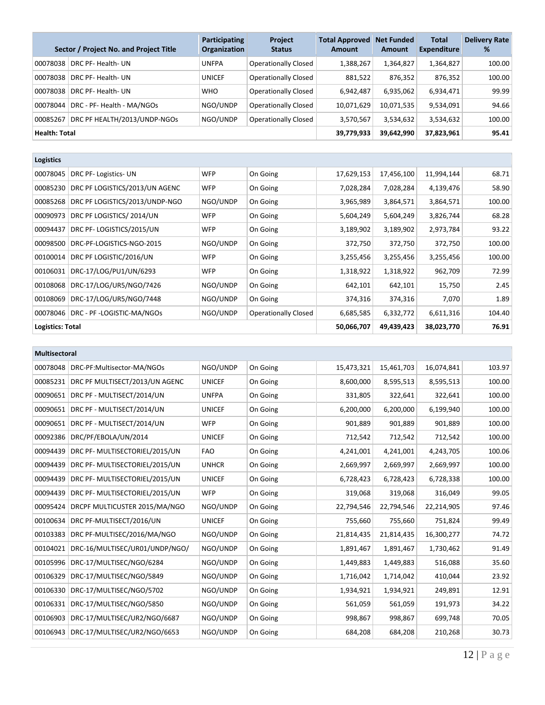|                      | Sector / Project No. and Project Title | Participating<br>Organization | <b>Project</b><br><b>Status</b> | <b>Total Approved</b><br><b>Amount</b> | <b>Net Funded</b><br><b>Amount</b> | <b>Total</b><br><b>Expenditure</b> | <b>Delivery Rate</b><br>% |
|----------------------|----------------------------------------|-------------------------------|---------------------------------|----------------------------------------|------------------------------------|------------------------------------|---------------------------|
| 00078038             | DRC PF- Health- UN                     | <b>UNFPA</b>                  | <b>Operationally Closed</b>     | 1,388,267                              | 1,364,827                          | 1,364,827                          | 100.00                    |
| 00078038             | DRC PF- Health- UN                     | <b>UNICEF</b>                 | <b>Operationally Closed</b>     | 881,522                                | 876,352                            | 876,352                            | 100.00                    |
| 00078038             | DRC PF- Health- UN                     | <b>WHO</b>                    | <b>Operationally Closed</b>     | 6,942,487                              | 6,935,062                          | 6,934,471                          | 99.99                     |
| 00078044             | DRC - PF- Health - MA/NGOs             | NGO/UNDP                      | <b>Operationally Closed</b>     | 10,071,629                             | 10,071,535                         | 9,534,091                          | 94.66                     |
| 00085267             | DRC PF HEALTH/2013/UNDP-NGOS           | NGO/UNDP                      | <b>Operationally Closed</b>     | 3,570,567                              | 3,534,632                          | 3,534,632                          | 100.00                    |
| <b>Health: Total</b> |                                        |                               |                                 | 39,779,933                             | 39,642,990                         | 37,823,961                         | 95.41                     |

| <b>Logistics</b>        |                                |            |                             |            |            |            |        |
|-------------------------|--------------------------------|------------|-----------------------------|------------|------------|------------|--------|
| 00078045                | DRC PF-Logistics-UN            | <b>WFP</b> | On Going                    | 17,629,153 | 17,456,100 | 11,994,144 | 68.71  |
| 00085230                | DRC PF LOGISTICS/2013/UN AGENC | <b>WFP</b> | On Going                    | 7,028,284  | 7,028,284  | 4,139,476  | 58.90  |
| 00085268                | DRC PF LOGISTICS/2013/UNDP-NGO | NGO/UNDP   | On Going                    | 3,965,989  | 3,864,571  | 3,864,571  | 100.00 |
| 00090973                | DRC PF LOGISTICS/2014/UN       | <b>WFP</b> | On Going                    | 5,604,249  | 5,604,249  | 3,826,744  | 68.28  |
| 00094437                | DRC PF-LOGISTICS/2015/UN       | <b>WFP</b> | On Going                    | 3,189,902  | 3,189,902  | 2,973,784  | 93.22  |
| 00098500                | DRC-PF-LOGISTICS-NGO-2015      | NGO/UNDP   | On Going                    | 372,750    | 372,750    | 372,750    | 100.00 |
| 00100014                | DRC PF LOGISTIC/2016/UN        | <b>WFP</b> | On Going                    | 3,255,456  | 3,255,456  | 3,255,456  | 100.00 |
| 00106031                | DRC-17/LOG/PU1/UN/6293         | <b>WFP</b> | On Going                    | 1,318,922  | 1,318,922  | 962,709    | 72.99  |
| 00108068                | DRC-17/LOG/UR5/NGO/7426        | NGO/UNDP   | On Going                    | 642,101    | 642,101    | 15,750     | 2.45   |
| 00108069                | DRC-17/LOG/UR5/NGO/7448        | NGO/UNDP   | On Going                    | 374,316    | 374,316    | 7,070      | 1.89   |
| 00078046                | DRC - PF -LOGISTIC-MA/NGOs     | NGO/UNDP   | <b>Operationally Closed</b> | 6,685,585  | 6,332,772  | 6,611,316  | 104.40 |
| <b>Logistics: Total</b> |                                | 50,066,707 | 49,439,423                  | 38,023,770 | 76.91      |            |        |

|          | Multisectoral                  |               |          |            |            |            |        |  |  |  |  |
|----------|--------------------------------|---------------|----------|------------|------------|------------|--------|--|--|--|--|
| 00078048 | DRC-PF:Multisector-MA/NGOs     | NGO/UNDP      | On Going | 15,473,321 | 15,461,703 | 16,074,841 | 103.97 |  |  |  |  |
| 00085231 | DRC PF MULTISECT/2013/UN AGENC | <b>UNICEF</b> | On Going | 8,600,000  | 8,595,513  | 8,595,513  | 100.00 |  |  |  |  |
| 00090651 | DRC PF - MULTISECT/2014/UN     | <b>UNFPA</b>  | On Going | 331,805    | 322,641    | 322,641    | 100.00 |  |  |  |  |
| 00090651 | DRC PF - MULTISECT/2014/UN     | <b>UNICEF</b> | On Going | 6,200,000  | 6,200,000  | 6,199,940  | 100.00 |  |  |  |  |
| 00090651 | DRC PF - MULTISECT/2014/UN     | <b>WFP</b>    | On Going | 901,889    | 901,889    | 901,889    | 100.00 |  |  |  |  |
| 00092386 | DRC/PF/EBOLA/UN/2014           | <b>UNICEF</b> | On Going | 712,542    | 712,542    | 712,542    | 100.00 |  |  |  |  |
| 00094439 | DRC PF- MULTISECTORIEL/2015/UN | <b>FAO</b>    | On Going | 4,241,001  | 4,241,001  | 4,243,705  | 100.06 |  |  |  |  |
| 00094439 | DRC PF- MULTISECTORIEL/2015/UN | <b>UNHCR</b>  | On Going | 2,669,997  | 2,669,997  | 2,669,997  | 100.00 |  |  |  |  |
| 00094439 | DRC PF- MULTISECTORIEL/2015/UN | <b>UNICEF</b> | On Going | 6,728,423  | 6,728,423  | 6,728,338  | 100.00 |  |  |  |  |
| 00094439 | DRC PF- MULTISECTORIEL/2015/UN | <b>WFP</b>    | On Going | 319,068    | 319,068    | 316,049    | 99.05  |  |  |  |  |
| 00095424 | DRCPF MULTICUSTER 2015/MA/NGO  | NGO/UNDP      | On Going | 22,794,546 | 22,794,546 | 22,214,905 | 97.46  |  |  |  |  |
| 00100634 | DRC PF-MULTISECT/2016/UN       | <b>UNICEF</b> | On Going | 755,660    | 755,660    | 751,824    | 99.49  |  |  |  |  |
| 00103383 | DRC PF-MULTISEC/2016/MA/NGO    | NGO/UNDP      | On Going | 21,814,435 | 21,814,435 | 16,300,277 | 74.72  |  |  |  |  |
| 00104021 | DRC-16/MULTISEC/UR01/UNDP/NGO/ | NGO/UNDP      | On Going | 1,891,467  | 1,891,467  | 1,730,462  | 91.49  |  |  |  |  |
| 00105996 | DRC-17/MULTISEC/NGO/6284       | NGO/UNDP      | On Going | 1,449,883  | 1,449,883  | 516,088    | 35.60  |  |  |  |  |
| 00106329 | DRC-17/MULTISEC/NGO/5849       | NGO/UNDP      | On Going | 1,716,042  | 1,714,042  | 410,044    | 23.92  |  |  |  |  |
| 00106330 | DRC-17/MULTISEC/NGO/5702       | NGO/UNDP      | On Going | 1,934,921  | 1,934,921  | 249,891    | 12.91  |  |  |  |  |
| 00106331 | DRC-17/MULTISEC/NGO/5850       | NGO/UNDP      | On Going | 561,059    | 561,059    | 191,973    | 34.22  |  |  |  |  |
| 00106903 | DRC-17/MULTISEC/UR2/NGO/6687   | NGO/UNDP      | On Going | 998,867    | 998,867    | 699,748    | 70.05  |  |  |  |  |
| 00106943 | DRC-17/MULTISEC/UR2/NGO/6653   | NGO/UNDP      | On Going | 684,208    | 684,208    | 210,268    | 30.73  |  |  |  |  |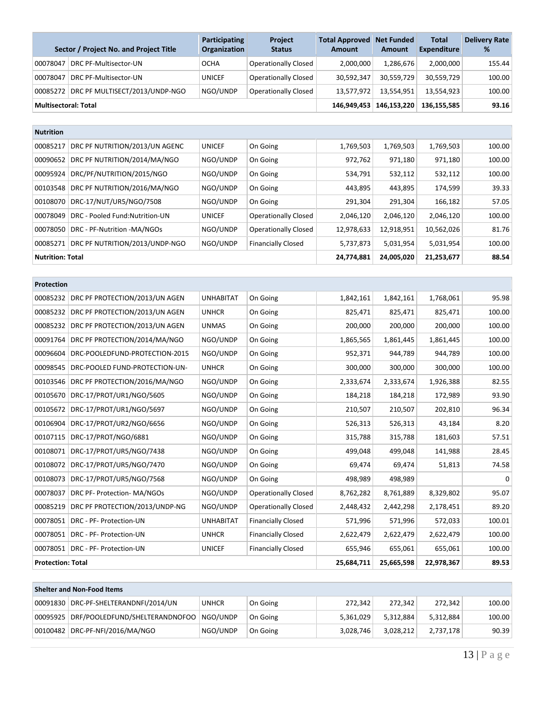|                             | Sector / Project No. and Project Title  | <b>Participating</b><br><b>Organization</b> | <b>Project</b><br><b>Status</b> | <b>Total Approved Net Funded</b><br><b>Amount</b> | <b>Amount</b> | <b>Total</b><br><b>Expenditure</b> | <b>Delivery Rate</b><br>% |
|-----------------------------|-----------------------------------------|---------------------------------------------|---------------------------------|---------------------------------------------------|---------------|------------------------------------|---------------------------|
| 00078047                    | DRC PF-Multisector-UN                   | <b>OCHA</b>                                 | <b>Operationally Closed</b>     | 2,000,000                                         | 1.286.676     | 2,000,000                          | 155.44                    |
| 00078047                    | DRC PF-Multisector-UN                   | <b>UNICEF</b>                               | <b>Operationally Closed</b>     | 30,592,347                                        | 30,559,729    | 30,559,729                         | 100.00                    |
|                             | 00085272 DRC PF MULTISECT/2013/UNDP-NGO | NGO/UNDP                                    | <b>Operationally Closed</b>     | 13.577.972                                        | 13,554,951    | 13.554.923                         | 100.00                    |
| <b>Multisectoral: Total</b> |                                         |                                             |                                 | 146.949.453                                       | 146,153,220   | 136.155.585                        | 93.16                     |

| <b>Nutrition</b>        |                                 |               |                             |            |            |            |        |
|-------------------------|---------------------------------|---------------|-----------------------------|------------|------------|------------|--------|
| 00085217                | DRC PF NUTRITION/2013/UN AGENC  | <b>UNICEF</b> | On Going                    | 1,769,503  | 1,769,503  | 1,769,503  | 100.00 |
| 00090652                | DRC PF NUTRITION/2014/MA/NGO    | NGO/UNDP      | On Going                    | 972,762    | 971,180    | 971,180    | 100.00 |
| 00095924                | DRC/PF/NUTRITION/2015/NGO       | NGO/UNDP      | On Going                    | 534,791    | 532,112    | 532,112    | 100.00 |
| 00103548                | DRC PF NUTRITION/2016/MA/NGO    | NGO/UNDP      | On Going                    | 443,895    | 443,895    | 174,599    | 39.33  |
| 00108070                | DRC-17/NUT/UR5/NGO/7508         | NGO/UNDP      | On Going                    | 291,304    | 291,304    | 166,182    | 57.05  |
| 00078049                | DRC - Pooled Fund: Nutrition-UN | <b>UNICEF</b> | <b>Operationally Closed</b> | 2,046,120  | 2,046,120  | 2,046,120  | 100.00 |
| 00078050                | DRC - PF-Nutrition -MA/NGOs     | NGO/UNDP      | <b>Operationally Closed</b> | 12,978,633 | 12,918,951 | 10,562,026 | 81.76  |
| 00085271                | DRC PF NUTRITION/2013/UNDP-NGO  | NGO/UNDP      | <b>Financially Closed</b>   | 5,737,873  | 5,031,954  | 5,031,954  | 100.00 |
| <b>Nutrition: Total</b> |                                 | 24,774,881    | 24.005.020                  | 21,253,677 | 88.54      |            |        |

| Protection               |                                |                  |                             |            |           |           |             |
|--------------------------|--------------------------------|------------------|-----------------------------|------------|-----------|-----------|-------------|
| 00085232                 | DRC PF PROTECTION/2013/UN AGEN | <b>UNHABITAT</b> | On Going                    | 1,842,161  | 1,842,161 | 1,768,061 | 95.98       |
| 00085232                 | DRC PF PROTECTION/2013/UN AGEN | <b>UNHCR</b>     | On Going                    | 825,471    | 825,471   | 825,471   | 100.00      |
| 00085232                 | DRC PF PROTECTION/2013/UN AGEN | <b>UNMAS</b>     | On Going                    | 200,000    | 200,000   | 200,000   | 100.00      |
| 00091764                 | DRC PF PROTECTION/2014/MA/NGO  | NGO/UNDP         | On Going                    | 1,865,565  | 1,861,445 | 1,861,445 | 100.00      |
| 00096604                 | DRC-POOLEDFUND-PROTECTION-2015 | NGO/UNDP         | On Going                    | 952,371    | 944,789   | 944,789   | 100.00      |
| 00098545                 | DRC-POOLED FUND-PROTECTION-UN- | <b>UNHCR</b>     | On Going                    | 300,000    | 300,000   | 300,000   | 100.00      |
| 00103546                 | DRC PF PROTECTION/2016/MA/NGO  | NGO/UNDP         | On Going                    | 2,333,674  | 2,333,674 | 1,926,388 | 82.55       |
| 00105670                 | DRC-17/PROT/UR1/NGO/5605       | NGO/UNDP         | On Going                    | 184,218    | 184,218   | 172,989   | 93.90       |
| 00105672                 | DRC-17/PROT/UR1/NGO/5697       | NGO/UNDP         | On Going                    | 210,507    | 210,507   | 202,810   | 96.34       |
| 00106904                 | DRC-17/PROT/UR2/NGO/6656       | NGO/UNDP         | On Going                    | 526,313    | 526,313   | 43,184    | 8.20        |
| 00107115                 | DRC-17/PROT/NGO/6881           | NGO/UNDP         | On Going                    | 315,788    | 315,788   | 181,603   | 57.51       |
| 00108071                 | DRC-17/PROT/UR5/NGO/7438       | NGO/UNDP         | On Going                    | 499,048    | 499,048   | 141,988   | 28.45       |
| 00108072                 | DRC-17/PROT/UR5/NGO/7470       | NGO/UNDP         | On Going                    | 69,474     | 69,474    | 51,813    | 74.58       |
| 00108073                 | DRC-17/PROT/UR5/NGO/7568       | NGO/UNDP         | On Going                    | 498,989    | 498,989   |           | $\mathbf 0$ |
| 00078037                 | DRC PF- Protection- MA/NGOs    | NGO/UNDP         | <b>Operationally Closed</b> | 8,762,282  | 8,761,889 | 8,329,802 | 95.07       |
| 00085219                 | DRC PF PROTECTION/2013/UNDP-NG | NGO/UNDP         | <b>Operationally Closed</b> | 2,448,432  | 2,442,298 | 2,178,451 | 89.20       |
| 00078051                 | DRC - PF- Protection-UN        | <b>UNHABITAT</b> | <b>Financially Closed</b>   | 571,996    | 571,996   | 572,033   | 100.01      |
| 00078051                 | DRC - PF- Protection-UN        | <b>UNHCR</b>     | <b>Financially Closed</b>   | 2,622,479  | 2,622,479 | 2,622,479 | 100.00      |
| 00078051                 | DRC - PF- Protection-UN        | <b>UNICEF</b>    | <b>Financially Closed</b>   | 655,946    | 655,061   | 655,061   | 100.00      |
| <b>Protection: Total</b> |                                | 25,684,711       | 25,665,598                  | 22,978,367 | 89.53     |           |             |

| <b>Shelter and Non-Food Items</b> |                                           |              |          |           |           |           |        |  |  |  |
|-----------------------------------|-------------------------------------------|--------------|----------|-----------|-----------|-----------|--------|--|--|--|
|                                   | DRC-PF-SHELTERANDNFI/2014/UN              | <b>UNHCR</b> | On Going | 272.342   | 272.342   | 272,342   | 100.00 |  |  |  |
| 00095925                          | DRF/POOLEDFUND/SHELTERANDNOFOO   NGO/UNDP |              | On Going | 5.361.029 | 5.312.884 | 5,312,884 | 100.00 |  |  |  |
|                                   | 00100482 DRC-PF-NFI/2016/MA/NGO           | NGO/UNDP     | On Going | 3,028,746 | 3.028.212 | 2.737.178 | 90.39  |  |  |  |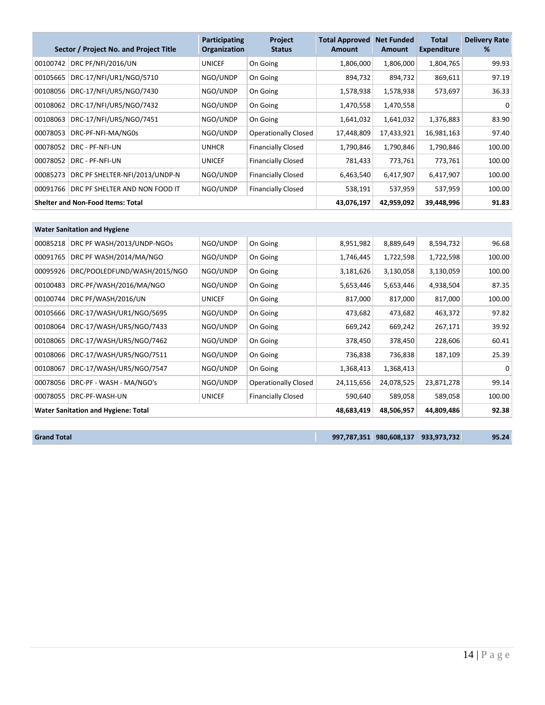|          | Sector / Project No. and Project Title   | Participating<br>Organization | <b>Project</b><br><b>Status</b> | <b>Total Approved</b><br><b>Amount</b> | <b>Net Funded</b><br>Amount | Total<br><b>Expenditure</b> | <b>Delivery Rate</b><br>% |
|----------|------------------------------------------|-------------------------------|---------------------------------|----------------------------------------|-----------------------------|-----------------------------|---------------------------|
| 00100742 | DRC PF/NFI/2016/UN                       | <b>UNICEF</b>                 | On Going                        | 1,806,000                              | 1,806,000                   | 1,804,765                   | 99.93                     |
| 00105665 | DRC-17/NFI/UR1/NGO/5710                  | NGO/UNDP                      | On Going                        | 894,732                                | 894,732                     | 869,611                     | 97.19                     |
| 00108056 | DRC-17/NFI/UR5/NGO/7430                  | NGO/UNDP                      | On Going                        | 1,578,938                              | 1,578,938                   | 573,697                     | 36.33                     |
| 00108062 | DRC-17/NFI/UR5/NGO/7432                  | NGO/UNDP                      | On Going                        | 1,470,558                              | 1,470,558                   |                             | 0                         |
| 00108063 | DRC-17/NFI/UR5/NGO/7451                  | NGO/UNDP                      | On Going                        | 1,641,032                              | 1,641,032                   | 1,376,883                   | 83.90                     |
| 00078053 | DRC-PF-NFI-MA/NG0s                       | NGO/UNDP                      | <b>Operationally Closed</b>     | 17,448,809                             | 17,433,921                  | 16,981,163                  | 97.40                     |
| 00078052 | DRC - PF-NFI-UN                          | <b>UNHCR</b>                  | <b>Financially Closed</b>       | 1,790,846                              | 1,790,846                   | 1,790,846                   | 100.00                    |
| 00078052 | DRC - PF-NFI-UN                          | <b>UNICEF</b>                 | <b>Financially Closed</b>       | 781,433                                | 773,761                     | 773,761                     | 100.00                    |
| 00085273 | DRC PF SHELTER-NFI/2013/UNDP-N           | NGO/UNDP                      | <b>Financially Closed</b>       | 6,463,540                              | 6,417,907                   | 6,417,907                   | 100.00                    |
| 00091766 | DRC PF SHELTER AND NON FOOD IT           | NGO/UNDP                      | <b>Financially Closed</b>       | 538,191                                | 537,959                     | 537,959                     | 100.00                    |
|          | <b>Shelter and Non-Food Items: Total</b> | 43,076,197                    | 42,959,092                      | 39,448,996                             | 91.83                       |                             |                           |

|          | <b>Water Sanitation and Hygiene</b>        |               |                             |            |            |            |        |  |  |  |
|----------|--------------------------------------------|---------------|-----------------------------|------------|------------|------------|--------|--|--|--|
| 00085218 | DRC PF WASH/2013/UNDP-NGOs                 | NGO/UNDP      | On Going                    | 8,951,982  | 8,889,649  | 8,594,732  | 96.68  |  |  |  |
| 00091765 | DRC PF WASH/2014/MA/NGO                    | NGO/UNDP      | On Going                    | 1,746,445  | 1,722,598  | 1,722,598  | 100.00 |  |  |  |
| 00095926 | DRC/POOLEDFUND/WASH/2015/NGO               | NGO/UNDP      | On Going                    | 3,181,626  | 3,130,058  | 3,130,059  | 100.00 |  |  |  |
| 00100483 | DRC-PF/WASH/2016/MA/NGO                    | NGO/UNDP      | On Going                    | 5,653,446  | 5,653,446  | 4,938,504  | 87.35  |  |  |  |
| 00100744 | DRC PF/WASH/2016/UN                        | <b>UNICEF</b> | On Going                    | 817,000    | 817,000    | 817,000    | 100.00 |  |  |  |
| 00105666 | DRC-17/WASH/UR1/NGO/5695                   | NGO/UNDP      | On Going                    | 473,682    | 473,682    | 463,372    | 97.82  |  |  |  |
| 00108064 | DRC-17/WASH/UR5/NGO/7433                   | NGO/UNDP      | On Going                    | 669,242    | 669,242    | 267,171    | 39.92  |  |  |  |
| 00108065 | DRC-17/WASH/UR5/NGO/7462                   | NGO/UNDP      | On Going                    | 378,450    | 378,450    | 228,606    | 60.41  |  |  |  |
| 00108066 | DRC-17/WASH/UR5/NGO/7511                   | NGO/UNDP      | On Going                    | 736,838    | 736,838    | 187,109    | 25.39  |  |  |  |
| 00108067 | DRC-17/WASH/UR5/NGO/7547                   | NGO/UNDP      | On Going                    | 1,368,413  | 1,368,413  |            | 0      |  |  |  |
| 00078056 | DRC-PF - WASH - MA/NGO's                   | NGO/UNDP      | <b>Operationally Closed</b> | 24,115,656 | 24,078,525 | 23,871,278 | 99.14  |  |  |  |
| 00078055 | DRC-PF-WASH-UN                             | <b>UNICEF</b> | <b>Financially Closed</b>   | 590,640    | 589,058    | 589,058    | 100.00 |  |  |  |
|          | <b>Water Sanitation and Hygiene: Total</b> | 48,683,419    | 48,506,957                  | 44,809,486 | 92.38      |            |        |  |  |  |

**Grand Total 997,787,351 980,608,137 933,973,732 95.24**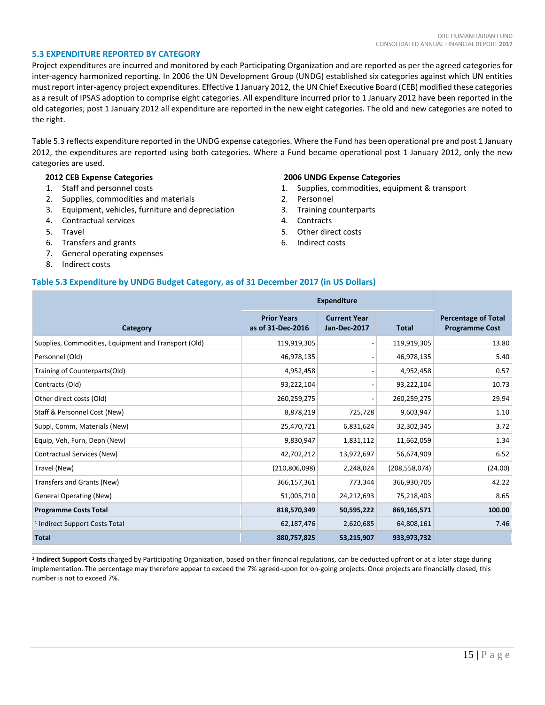#### **5.3 EXPENDITURE REPORTED BY CATEGORY**

Project expenditures are incurred and monitored by each Participating Organization and are reported as per the agreed categories for inter-agency harmonized reporting. In 2006 the UN Development Group (UNDG) established six categories against which UN entities must report inter-agency project expenditures. Effective 1 January 2012, the UN Chief Executive Board (CEB) modified these categories as a result of IPSAS adoption to comprise eight categories. All expenditure incurred prior to 1 January 2012 have been reported in the old categories; post 1 January 2012 all expenditure are reported in the new eight categories. The old and new categories are noted to the right.

Table 5.3 reflects expenditure reported in the UNDG expense categories. Where the Fund has been operational pre and post 1 January 2012, the expenditures are reported using both categories. Where a Fund became operational post 1 January 2012, only the new categories are used.

### **2012 CEB Expense Categories**

- 1. Staff and personnel costs
- 2. Supplies, commodities and materials
- 3. Equipment, vehicles, furniture and depreciation
- 4. Contractual services
- 5. Travel
- 6. Transfers and grants
- 7. General operating expenses
- 8. Indirect costs

\_\_\_\_\_\_\_\_\_\_\_\_\_\_\_\_\_\_\_\_\_\_

### **2006 UNDG Expense Categories**

- 1. Supplies, commodities, equipment & transport
- 2. Personnel
- 3. Training counterparts
- 4. Contracts
- 5. Other direct costs
- 6. Indirect costs

#### **Table 5.3 Expenditure by UNDG Budget Category, as of 31 December 2017 (in US Dollars)**

|                                                      |                                         | <b>Expenditure</b>                  |                 |                                                     |
|------------------------------------------------------|-----------------------------------------|-------------------------------------|-----------------|-----------------------------------------------------|
| Category                                             | <b>Prior Years</b><br>as of 31-Dec-2016 | <b>Current Year</b><br>Jan-Dec-2017 | <b>Total</b>    | <b>Percentage of Total</b><br><b>Programme Cost</b> |
| Supplies, Commodities, Equipment and Transport (Old) | 119,919,305                             |                                     | 119,919,305     | 13.80                                               |
| Personnel (Old)                                      | 46,978,135                              |                                     | 46,978,135      | 5.40                                                |
| Training of Counterparts(Old)                        | 4,952,458                               |                                     | 4,952,458       | 0.57                                                |
| Contracts (Old)                                      | 93,222,104                              |                                     | 93,222,104      | 10.73                                               |
| Other direct costs (Old)                             | 260,259,275                             |                                     | 260,259,275     | 29.94                                               |
| Staff & Personnel Cost (New)                         | 8,878,219                               | 725,728                             | 9,603,947       | 1.10                                                |
| Suppl, Comm, Materials (New)                         | 25,470,721                              | 6,831,624                           | 32,302,345      | 3.72                                                |
| Equip, Veh, Furn, Depn (New)                         | 9,830,947                               | 1,831,112                           | 11,662,059      | 1.34                                                |
| Contractual Services (New)                           | 42,702,212                              | 13,972,697                          | 56,674,909      | 6.52                                                |
| Travel (New)                                         | (210, 806, 098)                         | 2,248,024                           | (208, 558, 074) | (24.00)                                             |
| Transfers and Grants (New)                           | 366,157,361                             | 773,344                             | 366,930,705     | 42.22                                               |
| <b>General Operating (New)</b>                       | 51,005,710                              | 24,212,693                          | 75,218,403      | 8.65                                                |
| <b>Programme Costs Total</b>                         | 818,570,349                             | 50,595,222                          | 869,165,571     | 100.00                                              |
| <sup>1</sup> Indirect Support Costs Total            | 62,187,476                              | 2,620,685                           | 64,808,161      | 7.46                                                |
| <b>Total</b>                                         | 880,757,825                             | 53,215,907                          | 933,973,732     |                                                     |

**<sup>1</sup> Indirect Support Costs** charged by Participating Organization, based on their financial regulations, can be deducted upfront or at a later stage during implementation. The percentage may therefore appear to exceed the 7% agreed-upon for on-going projects. Once projects are financially closed, this number is not to exceed 7%.